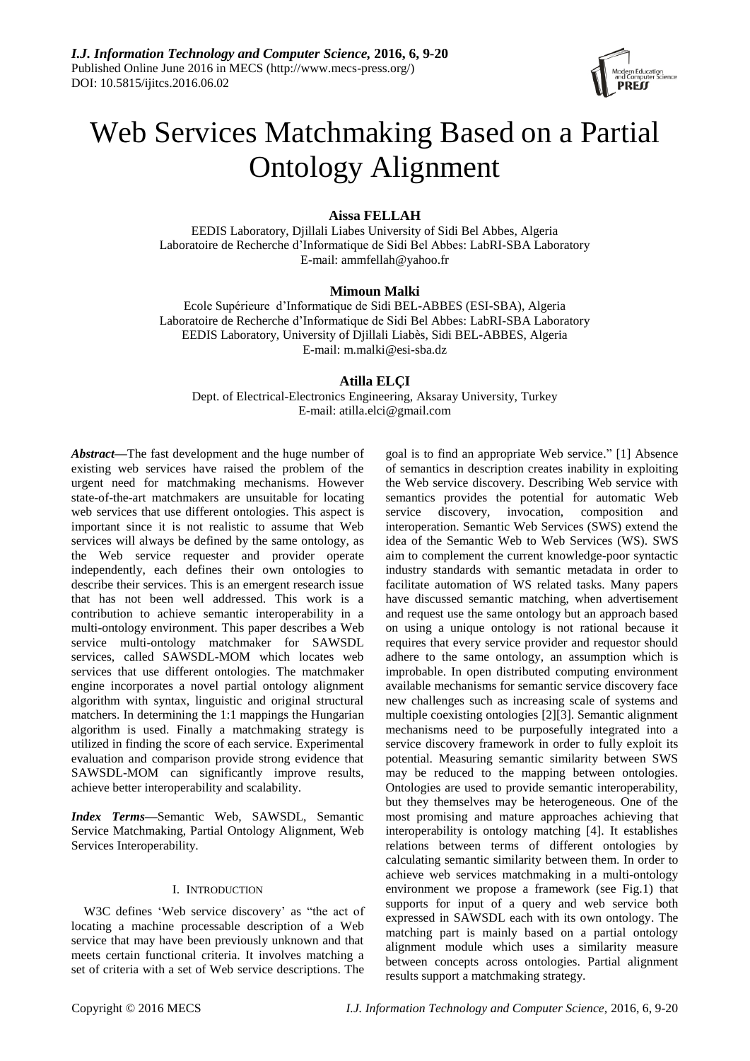

# Web Services Matchmaking Based on a Partial Ontology Alignment

# **Aissa FELLAH**

EEDIS Laboratory, Djillali Liabes University of Sidi Bel Abbes, Algeria Laboratoire de Recherche d'Informatique de Sidi Bel Abbes: LabRI-SBA Laboratory E-mail: [ammfellah@yahoo.fr](mailto:ammfellah@yahoo.fr)

## **Mimoun Malki**

Ecole Supérieure d'Informatique de Sidi BEL-ABBES (ESI-SBA), Algeria Laboratoire de Recherche d'Informatique de Sidi Bel Abbes: LabRI-SBA Laboratory EEDIS Laboratory, University of Djillali Liabès, Sidi BEL-ABBES, Algeria E-mail: [m.malki@esi-sba.dz](mailto:m.malki@esi-sba.dz)

# **Atilla ELÇI**

Dept. of Electrical-Electronics Engineering, Aksaray University, Turkey E-mail: atilla.elci@gmail.com

*Abstract—*The fast development and the huge number of existing web services have raised the problem of the urgent need for matchmaking mechanisms. However [state-of-the-art](http://www.thesaurus.com/browse/state-of-the-art) matchmakers are unsuitable for locating web services that use different ontologies. This aspect is important since it is not realistic to assume that Web services will always be defined by the same ontology, as the Web service requester and provider operate independently, each defines their own ontologies to describe their services. This is an emergent research issue that has not been well addressed. This work is a contribution to achieve semantic interoperability in a multi-ontology environment. This paper describes a Web service multi-ontology matchmaker for SAWSDL services, called SAWSDL-MOM which locates web services that use different ontologies. The matchmaker engine incorporates a novel partial ontology alignment algorithm with syntax, linguistic and original structural matchers. In determining the 1:1 mappings the Hungarian algorithm is used. Finally a matchmaking strategy is utilized in finding the score of each service. Experimental evaluation and comparison provide strong evidence that SAWSDL-MOM can significantly improve results, achieve better interoperability and scalability.

*Index Terms***—**Semantic Web, SAWSDL, Semantic Service Matchmaking, Partial Ontology Alignment, Web Services Interoperability.

#### I. INTRODUCTION

W3C defines 'Web service discovery' as "the act of locating a machine processable description of a Web service that may have been previously unknown and that meets certain functional criteria. It involves matching a set of criteria with a set of Web service descriptions. The

goal is to find an appropriate Web service." [1] Absence of semantics in description creates inability in exploiting the Web service discovery. Describing Web service with semantics provides the potential for automatic Web service discovery, invocation, composition and interoperation. Semantic Web Services (SWS) extend the idea of the Semantic Web to Web Services (WS). SWS aim to complement the current knowledge-poor syntactic industry standards with semantic metadata in order to facilitate automation of WS related tasks. Many papers have discussed semantic matching, when advertisement and request use the same ontology but an approach based on using a unique ontology is not rational because it requires that every service provider and requestor should adhere to the same ontology, an assumption which is improbable. In open distributed computing environment available mechanisms for semantic service discovery face new challenges such as increasing scale of systems and multiple coexisting ontologies [2][3]. Semantic alignment mechanisms need to be purposefully integrated into a service discovery framework in order to fully exploit its potential. Measuring semantic similarity between SWS may be reduced to the mapping between ontologies. Ontologies are used to provide semantic interoperability, but they themselves may be heterogeneous. One of the most promising and mature approaches achieving that interoperability is ontology matching [4]. It establishes relations between terms of different ontologies by calculating semantic similarity between them. In order to achieve web services matchmaking in a multi-ontology environment we propose a framework (see Fig.1) that supports for input of a query and web service both expressed in SAWSDL each with its own ontology. The matching part is mainly based on a partial ontology alignment module which uses a similarity measure between concepts across ontologies. Partial alignment results support a matchmaking strategy.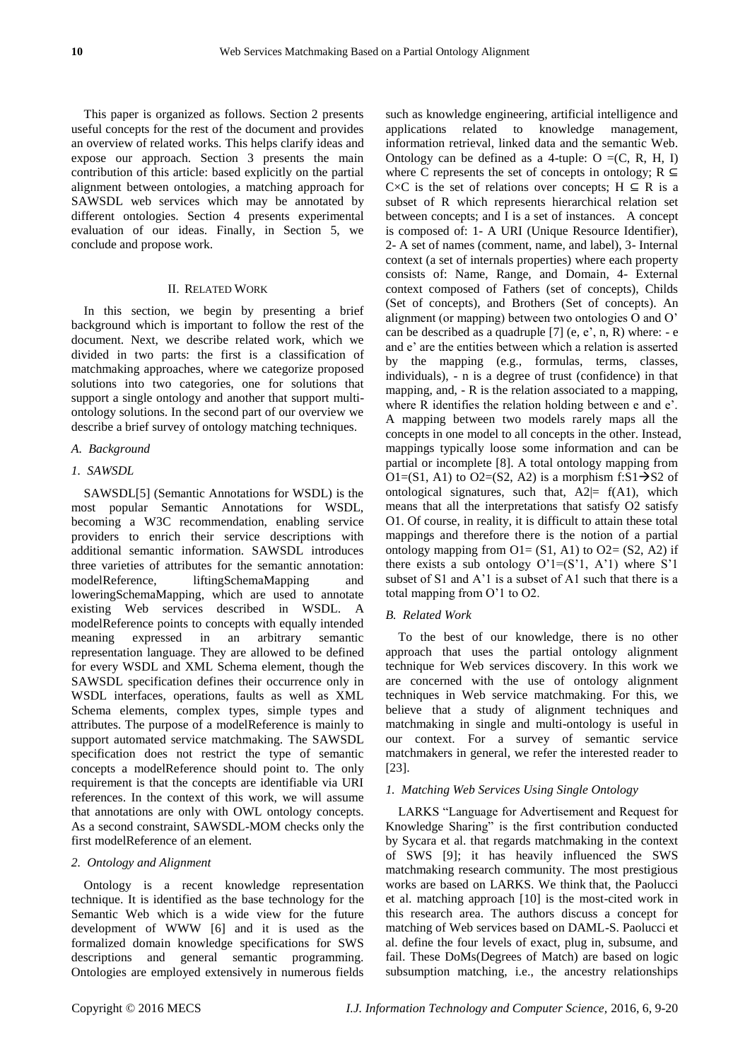This paper is organized as follows. Section 2 presents useful concepts for the rest of the document and provides an overview of related works. This helps clarify ideas and expose our approach. Section 3 presents the main contribution of this article: based explicitly on the partial alignment between ontologies, a matching approach for SAWSDL web services which may be annotated by different ontologies. Section 4 presents experimental evaluation of our ideas. Finally, in Section 5, we conclude and propose work.

#### II. RELATED WORK

In this section, we begin by presenting a brief background which is important to follow the rest of the document. Next, we describe related work, which we divided in two parts: the first is a classification of matchmaking approaches, where we categorize proposed solutions into two categories, one for solutions that support a single ontology and another that support multiontology solutions. In the second part of our overview we describe a brief survey of ontology matching techniques.

#### *A. Background*

#### *1. SAWSDL*

SAWSDL[5] (Semantic Annotations for WSDL) is the most popular Semantic Annotations for WSDL, becoming a W3C recommendation, enabling service providers to enrich their service descriptions with additional semantic information. SAWSDL introduces three varieties of attributes for the semantic annotation: modelReference, liftingSchemaMapping and loweringSchemaMapping, which are used to annotate existing Web services described in WSDL. A modelReference points to concepts with equally intended meaning expressed in an arbitrary semantic representation language. They are allowed to be defined for every WSDL and XML Schema element, though the SAWSDL specification defines their occurrence only in WSDL interfaces, operations, faults as well as XML Schema elements, complex types, simple types and attributes. The purpose of a modelReference is mainly to support automated service matchmaking. The SAWSDL specification does not restrict the type of semantic concepts a modelReference should point to. The only requirement is that the concepts are identifiable via URI references. In the context of this work, we will assume that annotations are only with OWL ontology concepts. As a second constraint, SAWSDL-MOM checks only the first modelReference of an element.

#### *2. Ontology and Alignment*

Ontology is a recent knowledge representation technique. It is identified as the base technology for the Semantic Web which is a wide view for the future development of WWW [6] and it is used as the formalized domain knowledge specifications for SWS descriptions and general semantic programming. Ontologies are employed extensively in numerous fields such as knowledge engineering, artificial intelligence and applications related to knowledge management, information retrieval, linked data and the semantic Web. Ontology can be defined as a 4-tuple: O  $=(C, R, H, I)$ where C represents the set of concepts in ontology;  $R \subseteq$ C $\times$ C is the set of relations over concepts; H  $\subseteq$  R is a subset of R which represents hierarchical relation set between concepts; and I is a set of instances. A concept is composed of: 1- A URI (Unique Resource Identifier), 2- A set of names (comment, name, and label), 3- Internal context (a set of internals properties) where each property consists of: Name, Range, and Domain, 4- External context composed of Fathers (set of concepts), Childs (Set of concepts), and Brothers (Set of concepts). An alignment (or mapping) between two ontologies O and O' can be described as a quadruple  $[7]$  (e, e', n, R) where: - e and e' are the entities between which a relation is asserted by the mapping (e.g., formulas, terms, classes, individuals), - n is a degree of trust (confidence) in that mapping, and, - R is the relation associated to a mapping, where R identifies the relation holding between e and e'. A mapping between two models rarely maps all the concepts in one model to all concepts in the other. Instead, mappings typically loose some information and can be partial or incomplete [8]. A total ontology mapping from O1=(S1, A1) to O2=(S2, A2) is a morphism f:S1 $\rightarrow$ S2 of ontological signatures, such that,  $A2 = f(A1)$ , which means that all the interpretations that satisfy O2 satisfy O1. Of course, in reality, it is difficult to attain these total mappings and therefore there is the notion of a partial ontology mapping from  $O1 = (S1, A1)$  to  $O2 = (S2, A2)$  if there exists a sub ontology  $O'1=(S'1, A'1)$  where S'1 subset of S1 and A'1 is a subset of A1 such that there is a total mapping from O'1 to O2.

#### *B. Related Work*

To the best of our knowledge, there is no other approach that uses the partial ontology alignment technique for Web services discovery. In this work we are concerned with the use of ontology alignment techniques in Web service matchmaking. For this, we believe that a study of alignment techniques and matchmaking in single and multi-ontology is useful in our context. For a survey of semantic service matchmakers in general, we refer the interested reader to [23].

#### *1. Matching Web Services Using Single Ontology*

LARKS "Language for Advertisement and Request for Knowledge Sharing" is the first contribution conducted by Sycara et al. that regards matchmaking in the context of SWS [9]; it has heavily influenced the SWS matchmaking research community. The most prestigious works are based on LARKS. We think that, the Paolucci et al. matching approach [10] is the most-cited work in this research area. The authors discuss a concept for matching of Web services based on DAML-S. Paolucci et al. define the four levels of exact, plug in, subsume, and fail. These DoMs(Degrees of Match) are based on logic subsumption matching, i.e., the ancestry relationships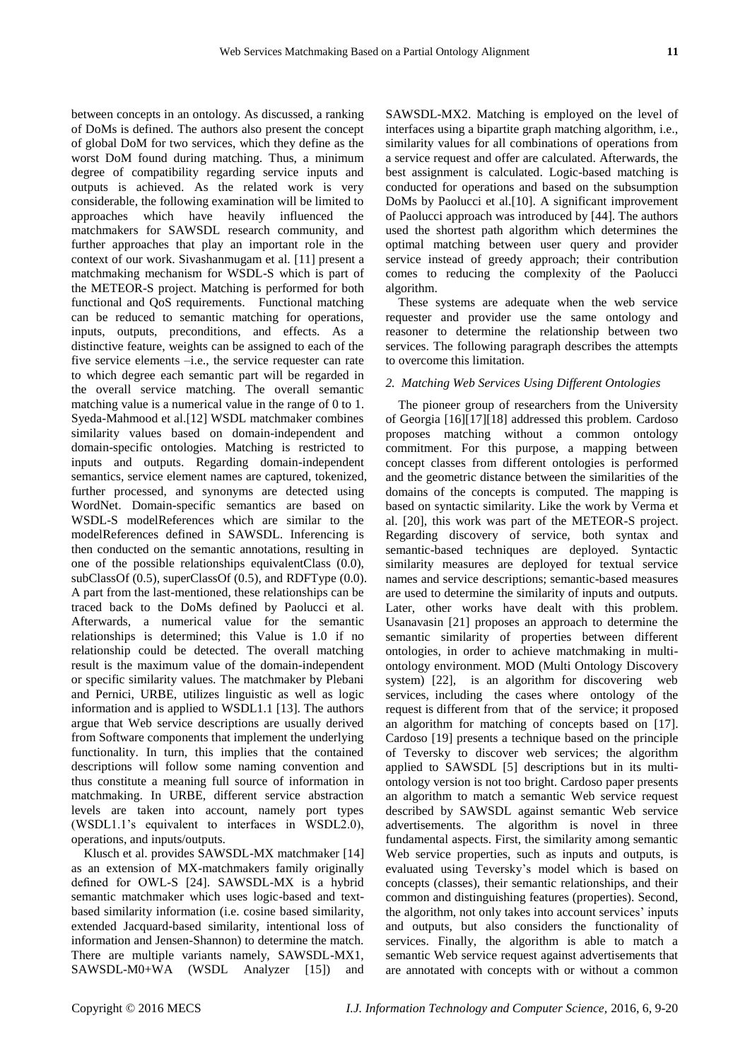between concepts in an ontology. As discussed, a ranking of DoMs is defined. The authors also present the concept of global DoM for two services, which they define as the worst DoM found during matching. Thus, a minimum degree of compatibility regarding service inputs and outputs is achieved. As the related work is very considerable, the following examination will be limited to approaches which have heavily influenced the matchmakers for SAWSDL research community, and further approaches that play an important role in the context of our work. Sivashanmugam et al. [11] present a matchmaking mechanism for WSDL-S which is part of the METEOR-S project. Matching is performed for both functional and QoS requirements. Functional matching can be reduced to semantic matching for operations, inputs, outputs, preconditions, and effects. As a distinctive feature, weights can be assigned to each of the five service elements –i.e., the service requester can rate to which degree each semantic part will be regarded in the overall service matching. The overall semantic matching value is a numerical value in the range of 0 to 1. Syeda-Mahmood et al.[12] WSDL matchmaker combines similarity values based on domain-independent and domain-specific ontologies. Matching is restricted to inputs and outputs. Regarding domain-independent semantics, service element names are captured, tokenized, further processed, and synonyms are detected using WordNet. Domain-specific semantics are based on WSDL-S modelReferences which are similar to the modelReferences defined in SAWSDL. Inferencing is then conducted on the semantic annotations, resulting in one of the possible relationships equivalentClass (0.0), subClassOf (0.5), superClassOf (0.5), and RDFType (0.0). A part from the last-mentioned, these relationships can be traced back to the DoMs defined by Paolucci et al. Afterwards, a numerical value for the semantic relationships is determined; this Value is 1.0 if no relationship could be detected. The overall matching result is the maximum value of the domain-independent or specific similarity values. The matchmaker by Plebani and Pernici, URBE, utilizes linguistic as well as logic information and is applied to WSDL1.1 [13]. The authors argue that Web service descriptions are usually derived from Software components that implement the underlying functionality. In turn, this implies that the contained descriptions will follow some naming convention and thus constitute a meaning full source of information in matchmaking. In URBE, different service abstraction levels are taken into account, namely port types (WSDL1.1's equivalent to interfaces in WSDL2.0), operations, and inputs/outputs.

Klusch et al. provides SAWSDL-MX matchmaker [14] as an extension of MX-matchmakers family originally defined for OWL-S [24]. SAWSDL-MX is a hybrid semantic matchmaker which uses logic-based and textbased similarity information (i.e. cosine based similarity, extended Jacquard-based similarity, intentional loss of information and Jensen-Shannon) to determine the match. There are multiple variants namely, SAWSDL-MX1, SAWSDL-M0+WA (WSDL Analyzer [15]) and

SAWSDL-MX2. Matching is employed on the level of interfaces using a bipartite graph matching algorithm, i.e., similarity values for all combinations of operations from a service request and offer are calculated. Afterwards, the best assignment is calculated. Logic-based matching is conducted for operations and based on the subsumption DoMs by Paolucci et al.[10]. A significant improvement of Paolucci approach was introduced by [44]. The authors used the shortest path algorithm which determines the optimal matching between user query and provider service instead of greedy approach; their contribution comes to reducing the complexity of the Paolucci algorithm.

These systems are adequate when the web service requester and provider use the same ontology and reasoner to determine the relationship between two services. The following paragraph describes the attempts to overcome this limitation.

#### *2. Matching Web Services Using Different Ontologies*

The pioneer group of researchers from the University of Georgia [16][17][18] addressed this problem. Cardoso proposes matching without a common ontology commitment. For this purpose, a mapping between concept classes from different ontologies is performed and the geometric distance between the similarities of the domains of the concepts is computed. The mapping is based on syntactic similarity. Like the work by Verma et al. [20], this work was part of the METEOR-S project. Regarding discovery of service, both syntax and semantic-based techniques are deployed. Syntactic similarity measures are deployed for textual service names and service descriptions; semantic-based measures are used to determine the similarity of inputs and outputs. Later, other works have dealt with this problem. Usanavasin [21] proposes an approach to determine the semantic similarity of properties between different ontologies, in order to achieve matchmaking in multiontology environment. MOD (Multi Ontology Discovery system) [22], is an algorithm for discovering web services, including the cases where ontology of the request is different from that of the service; it proposed an algorithm for matching of concepts based on [17]. Cardoso [19] presents a technique based on the principle of Teversky to discover web services; the algorithm applied to SAWSDL [5] descriptions but in its multiontology version is not too bright. Cardoso paper presents an algorithm to match a semantic Web service request described by SAWSDL against semantic Web service advertisements. The algorithm is novel in three fundamental aspects. First, the similarity among semantic Web service properties, such as inputs and outputs, is evaluated using Teversky's model which is based on concepts (classes), their semantic relationships, and their common and distinguishing features (properties). Second, the algorithm, not only takes into account services' inputs and outputs, but also considers the functionality of services. Finally, the algorithm is able to match a semantic Web service request against advertisements that are annotated with concepts with or without a common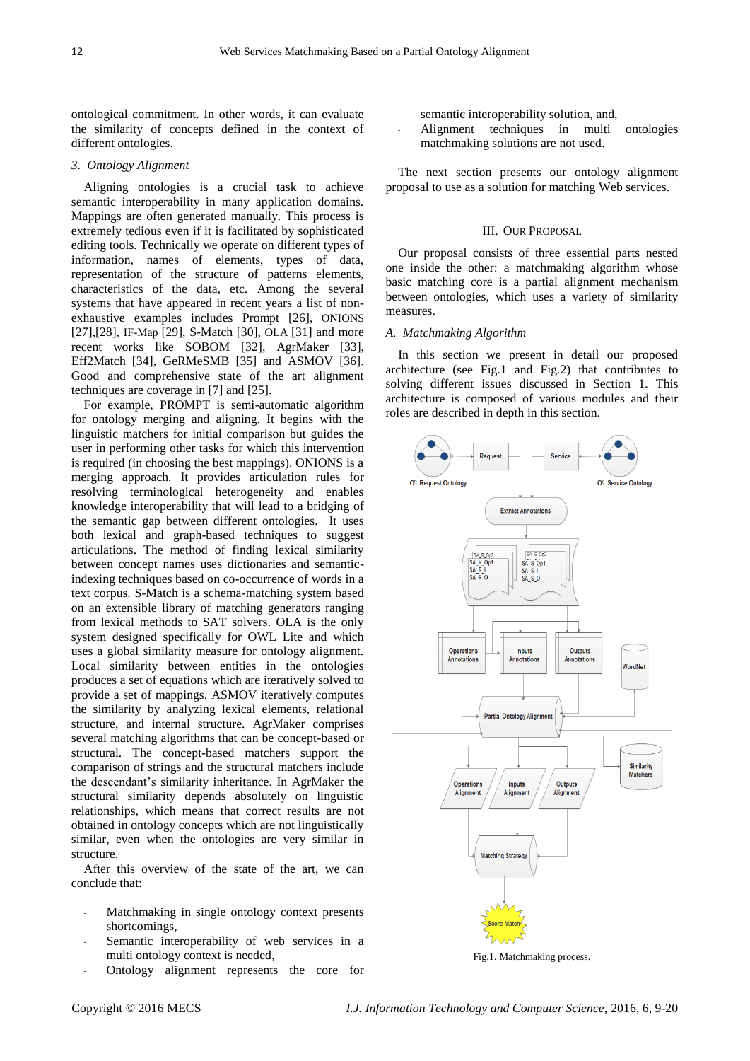ontological commitment. In other words, it can evaluate the similarity of concepts defined in the context of different ontologies.

#### *3. Ontology Alignment*

Aligning ontologies is a crucial task to achieve semantic interoperability in many application domains. Mappings are often generated manually. This process is extremely tedious even if it is facilitated by sophisticated editing tools. Technically we operate on different types of information, names of elements, types of data, representation of the structure of patterns elements, characteristics of the data, etc. Among the several systems that have appeared in recent years a list of nonexhaustive examples includes Prompt [26], ONIONS [27],[28], IF-Map [29], S-Match [30], OLA [31] and more recent works like SOBOM [32], AgrMaker [33], Eff2Match [34], GeRMeSMB [35] and ASMOV [36]. Good and comprehensive state of the art alignment techniques are coverage in [7] and [25].

For example, PROMPT is semi-automatic algorithm for ontology merging and aligning. It begins with the linguistic matchers for initial comparison but guides the user in performing other tasks for which this intervention is required (in choosing the best mappings). ONIONS is a merging approach. It provides articulation rules for resolving terminological heterogeneity and enables knowledge interoperability that will lead to a bridging of the semantic gap between different ontologies. It uses both lexical and graph-based techniques to suggest articulations. The method of finding lexical similarity between concept names uses dictionaries and semanticindexing techniques based on co-occurrence of words in a text corpus. S-Match is a schema-matching system based on an extensible library of matching generators ranging from lexical methods to SAT solvers. OLA is the only system designed specifically for OWL Lite and which uses a global similarity measure for ontology alignment. Local similarity between entities in the ontologies produces a set of equations which are iteratively solved to provide a set of mappings. ASMOV iteratively computes the similarity by analyzing lexical elements, relational structure, and internal structure. AgrMaker comprises several matching algorithms that can be concept-based or structural. The concept-based matchers support the comparison of strings and the structural matchers include the descendant's similarity inheritance. In AgrMaker the structural similarity depends absolutely on linguistic relationships, which means that correct results are not obtained in ontology concepts which are not linguistically similar, even when the ontologies are very similar in structure.

After this overview of the state of the art, we can conclude that:

- *-* Matchmaking in single ontology context presents shortcomings,
- Semantic interoperability of web services in a multi ontology context is needed,
- *-* Ontology alignment represents the core for

semantic interoperability solution, and,

*-* Alignment techniques in multi ontologies matchmaking solutions are not used.

The next section presents our ontology alignment proposal to use as a solution for matching Web services.

#### III. OUR PROPOSAL.

Our proposal consists of three essential parts nested one inside the other: a matchmaking algorithm whose basic matching core is a partial alignment mechanism between ontologies, which uses a variety of similarity measures.

#### *A. Matchmaking Algorithm*

In this section we present in detail our proposed architecture (see Fig.1 and Fig.2) that contributes to solving different issues discussed in Section 1. This architecture is composed of various modules and their roles are described in depth in this section.



Fig.1. Matchmaking process.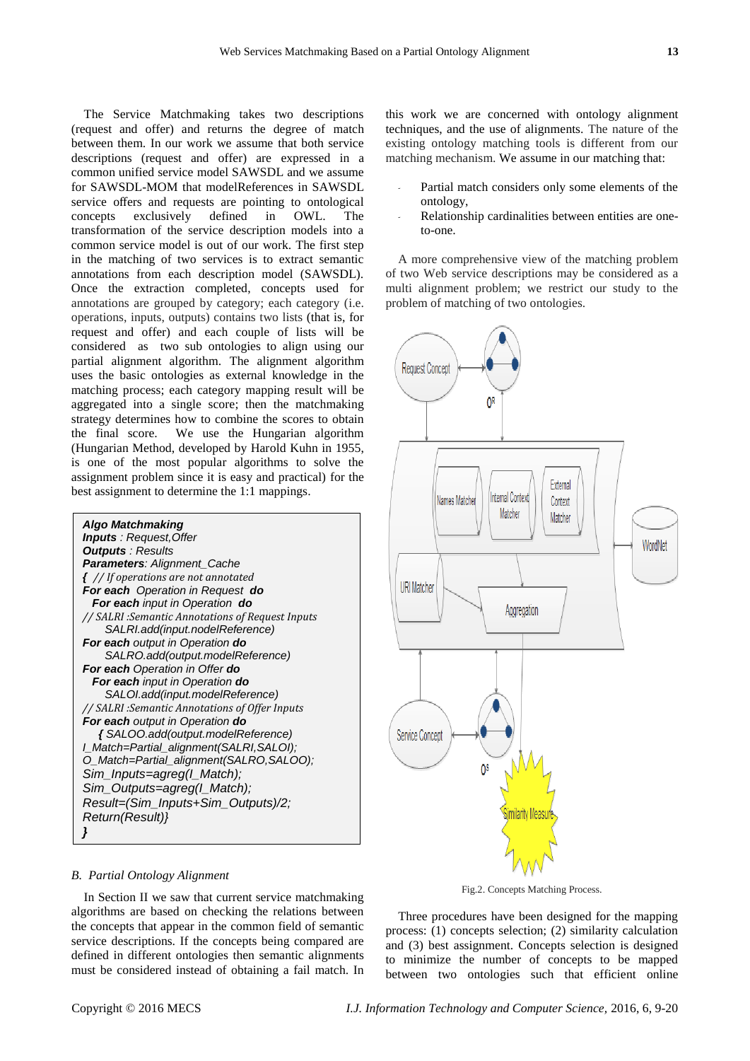The Service Matchmaking takes two descriptions (request and offer) and returns the degree of match between them. In our work we assume that both service descriptions (request and offer) are expressed in a common unified service model SAWSDL and we assume for SAWSDL-MOM that modelReferences in SAWSDL service offers and requests are pointing to ontological concepts exclusively defined in OWL. The transformation of the service description models into a common service model is out of our work. The first step in the matching of two services is to extract semantic annotations from each description model (SAWSDL). Once the extraction completed, concepts used for annotations are grouped by category; each category (i.e. operations, inputs, outputs) contains two lists (that is, for request and offer) and each couple of lists will be considered as two sub ontologies to align using our partial alignment algorithm. The alignment algorithm uses the basic ontologies as external knowledge in the matching process; each category mapping result will be aggregated into a single score; then the matchmaking strategy determines how to combine the scores to obtain the final score. We use the Hungarian algorithm (Hungarian Method, developed by Harold Kuhn in 1955, is one of the most popular algorithms to solve the assignment problem since it is easy and practical) for the best assignment to determine the 1:1 mappings.



*B. Partial Ontology Alignment*

In Section II we saw that current service matchmaking algorithms are based on checking the relations between the concepts that appear in the common field of semantic service descriptions. If the concepts being compared are defined in different ontologies then semantic alignments must be considered instead of obtaining a fail match. In this work we are concerned with ontology alignment techniques, and the use of alignments. The nature of the existing ontology matching tools is different from our matching mechanism. We assume in our matching that:

- Partial match considers only some elements of the ontology,
- *-* Relationship cardinalities between entities are oneto-one.

A more comprehensive view of the matching problem of two Web service descriptions may be considered as a multi alignment problem; we restrict our study to the problem of matching of two ontologies.



Fig.2. Concepts Matching Process.

Three procedures have been designed for the mapping process: (1) concepts selection; (2) similarity calculation and (3) best assignment. Concepts selection is designed to minimize the number of concepts to be mapped between two ontologies such that efficient online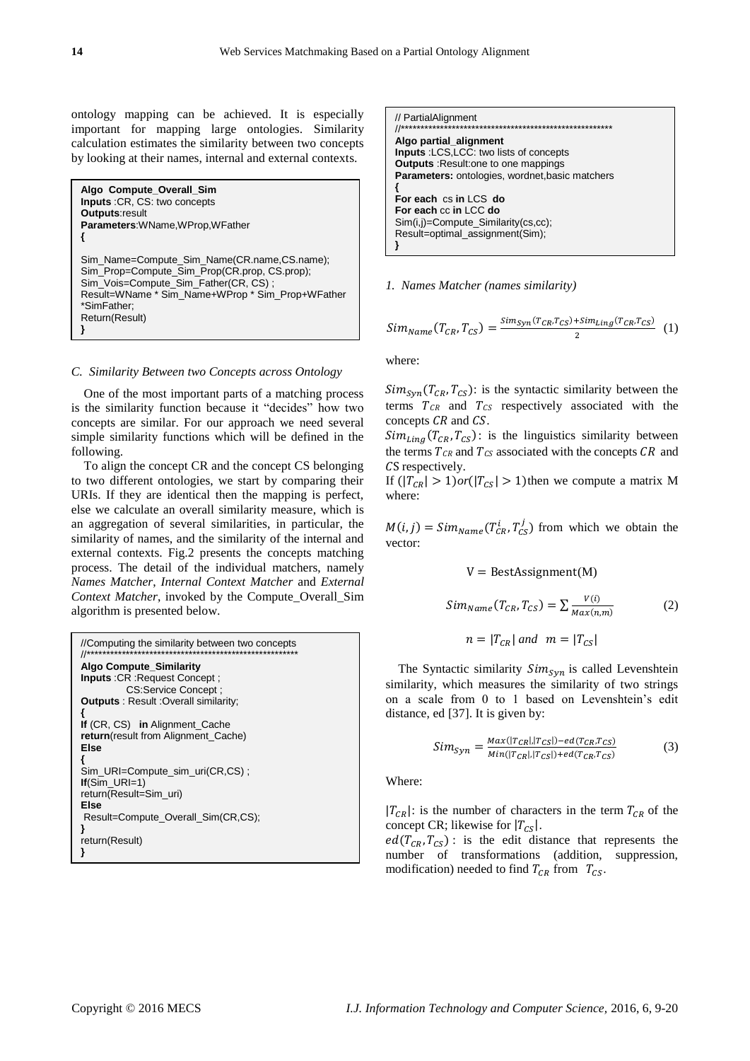ontology mapping can be achieved. It is especially important for mapping large ontologies. Similarity calculation estimates the similarity between two concepts by looking at their names, internal and external contexts.

**Algo Compute\_Overall\_Sim Inputs** :CR, CS: two concepts **Outputs**:result **Parameters**:WName,WProp,WFather **{** Sim\_Name=Compute\_Sim\_Name(CR.name,CS.name); Sim\_Prop=Compute\_Sim\_Prop(CR.prop, CS.prop); Sim\_Vois=Compute\_Sim\_Father(CR, CS) ; Result=WName \* Sim\_Name+WProp \* Sim\_Prop+WFather \*SimFather; Return(Result) **}**

#### *C. Similarity Between two Concepts across Ontology*

One of the most important parts of a matching process is the similarity function because it "decides" how two concepts are similar. For our approach we need several simple similarity functions which will be defined in the following.

To align the concept CR and the concept CS belonging to two different ontologies, we start by comparing their URIs. If they are identical then the mapping is perfect, else we calculate an overall similarity measure, which is an aggregation of several similarities, in particular, the similarity of names, and the similarity of the internal and external contexts. Fig.2 presents the concepts matching process. The detail of the individual matchers, namely *Names Matcher*, *Internal Context Matcher* and *External Context Matcher*, invoked by the Compute\_Overall\_Sim algorithm is presented below.

```
//Computing the similarity between two concepts
//******************************************************
Algo Compute_Similarity
Inputs :CR :Request Concept ;
         CS:Service Concept ;
Outputs : Result :Overall similarity;
{
If (CR, CS) in Alignment_Cache 
return(result from Alignment_Cache)
Else
{
Sim_URI=Compute_sim_uri(CR,CS) ;
If(Sim URI=1)
return(Result=Sim_uri)
Else
Result=Compute_Overall_Sim(CR,CS);
}
return(Result)
}
```
// PartialAlignment

```
//******************************************************
Algo partial_alignment
Inputs :LCS,LCC: two lists of concepts
Outputs :Result:one to one mappings
Parameters: ontologies, wordnet,basic matchers
{
For each cs in LCS do
For each cc in LCC do
Sim(i,j)=Compute_Similarity(cs,cc);
Result=optimal_assignment(Sim);
}
```
#### *1. Names Matcher (names similarity)*

$$
Sim_{Name}(T_{CR}, T_{CS}) = \frac{sim_{syn}(T_{CR}, T_{CS}) + sim_{Ling}(T_{CR}, T_{CS})}{2}
$$
 (1)

where:

 $Sim_{syn}(T_{CR}, T_{CS})$ : is the syntactic similarity between the terms  $T_{CR}$  and  $T_{CS}$  respectively associated with the concepts  $CR$  and  $CS$ .

 $Sim_{Lina}(T_{CR}, T_{CS})$ : is the linguistics similarity between the terms  $T_{CR}$  and  $T_{CS}$  associated with the concepts  $CR$  and CS respectively.

If  $(|T_{CR}| > 1)$ *or* $(|T_{CS}| > 1)$ then we compute a matrix M where:

 $M(i, j) = Sim_{Name}(T_{CR}^i, T_{CS}^j)$  from which we obtain the vector:

$$
V = BestAssignment(M)
$$
  
\n
$$
Sim_{Name}(T_{CR}, T_{CS}) = \sum \frac{V(i)}{Max(n,m)}
$$
 (2)

$$
n = |T_{CR}| \text{ and } m = |T_{CS}|
$$

The Syntactic similarity  $Sim<sub>Svn</sub>$  is called Levenshtein similarity, which measures the similarity of two strings on a scale from 0 to 1 based on Levenshtein's edit distance, ed [37]. It is given by:

$$
Sim_{syn} = \frac{Max(|T_{CR}|, |T_{CS}|) - ed(T_{CR}, T_{CS})}{Min(|T_{CR}|, |T_{CS}|) + ed(T_{CR}, T_{CS})}
$$
(3)

Where:

 $|T_{CR}|$ : is the number of characters in the term  $T_{CR}$  of the concept CR; likewise for  $|T_{CS}|$ .

 $ed(T_{CR}, T_{CS})$ : is the edit distance that represents the number of transformations (addition, suppression, modification) needed to find  $T_{CR}$  from  $T_{CS}$ .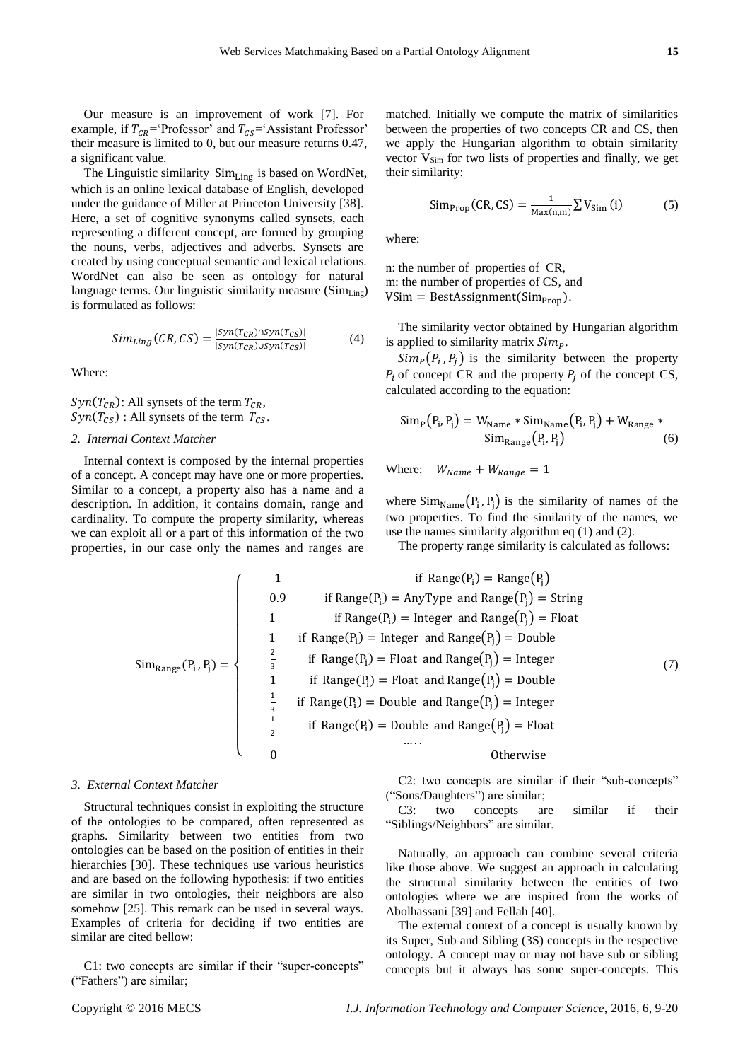Our measure is an improvement of work [7]. For example, if  $T_{CR}$ ='Professor' and  $T_{CS}$ ='Assistant Professor' their measure is limited to 0, but our measure returns 0.47, a significant value.

The Linguistic similarity  $Sim_{Line}$  is based on WordNet, which is an online lexical database of English, developed under the guidance of Miller at Princeton University [38]. Here, a set of cognitive synonyms called synsets, each representing a different concept, are formed by grouping the nouns, verbs, adjectives and adverbs. Synsets are created by using conceptual semantic and lexical relations. WordNet can also be seen as ontology for natural language terms. Our linguistic similarity measure (Sim<sub>Ling</sub>) is formulated as follows:

$$
Sim_{Ling}(CR, CS) = \frac{|syn(T_{CR}) \cap syn(T_{CS})|}{|syn(T_{CR}) \cup syn(T_{CS})|}
$$
(4)

Where:

 $Syn(T_{CR})$ : All synsets of the term  $T_{CR}$ ,  $Syn(T_{CS})$ : All synsets of the term  $T_{CS}$ .

## *2. Internal Context Matcher*

Internal context is composed by the internal properties of a concept. A concept may have one or more properties. Similar to a concept, a property also has a name and a description. In addition, it contains domain, range and cardinality. To compute the property similarity, whereas we can exploit all or a part of this information of the two properties, in our case only the names and ranges are

matched. Initially we compute the matrix of similarities between the properties of two concepts CR and CS, then we apply the Hungarian algorithm to obtain similarity vector V<sub>Sim</sub> for two lists of properties and finally, we get their similarity:

$$
\text{Simp}_{\text{rop}}(CR, CS) = \frac{1}{\text{Max}(n,m)} \sum V_{\text{Sim}}(i) \tag{5}
$$

where:

n: the number of properties of CR, m: the number of properties of CS, and  $VSim = BestAssignment(Sim_{\text{Pron}})$ .

The similarity vector obtained by Hungarian algorithm is applied to similarity matrix  $Sim<sub>p</sub>$ .

 $Sim_P(P_i, P_j)$  is the similarity between the property  $P_i$  of concept CR and the property  $P_i$  of the concept CS, calculated according to the equation:

$$
\text{Sim}_{P}(P_i, P_j) = W_{\text{Name}} * \text{Sim}_{\text{Name}}(P_i, P_j) + W_{\text{Range}} * \text{Sim}_{\text{Range}}(P_i, P_j)
$$
\n(6)

Where:  $W_{Name} + W_{Range} = 1$ 

where  $Sim_{Name}(P_i, P_j)$  is the similarity of names of the two properties. To find the similarity of the names, we use the names similarity algorithm eq (1) and (2).

The property range similarity is calculated as follows:

$$
Sim_{Range}(P_i, P_j) = \begin{cases}\n1 & \text{if Range}(P_i) = Range(P_j) = Range(P_j) \\
0.9 & \text{if Range}(P_i) = AnyType \text{ and Range}(P_j) = String \\
1 & \text{if Range}(P_i) = Integer \text{ and Range}(P_j) = Flow\end{cases}
$$
\n
$$
Sim_{Range}(P_i, P_j) = \begin{cases}\n2 & \text{if Range}(P_i) = Index \text{ and Range}(P_j) = Double \\
1 & \text{if Range}(P_i) = Product \text{ and Range}(P_j) = Double \\
2 & \text{if Range}(P_i) = Double \text{ and Range}(P_j) = Integer \\
3 & \text{if Range}(P_i) = Double \text{ and Range}(P_j) = Integer \\
4 & \text{if Range}(P_i) = Double \text{ and Range}(P_j) = Product \\
5 & \text{if Range}(P_i) = Double \text{ and Range}(P_j) = Product \\
6 & \text{Otherwise}\n\end{cases}
$$
\n(7)

#### *3. External Context Matcher*

Structural techniques consist in exploiting the structure of the ontologies to be compared, often represented as graphs. Similarity between two entities from two ontologies can be based on the position of entities in their hierarchies [30]. These techniques use various heuristics and are based on the following hypothesis: if two entities are similar in two ontologies, their neighbors are also somehow [25]. This remark can be used in several ways. Examples of criteria for deciding if two entities are similar are cited bellow:

C1: two concepts are similar if their "super-concepts" ("Fathers") are similar;

C2: two concepts are similar if their "sub-concepts" ("Sons/Daughters") are similar;

C3: two concepts are similar if their "Siblings/Neighbors" are similar.

Naturally, an approach can combine several criteria like those above. We suggest an approach in calculating the structural similarity between the entities of two ontologies where we are inspired from the works of Abolhassani [39] and Fellah [40].

The external context of a concept is usually known by its Super, Sub and Sibling (3S) concepts in the respective ontology. A concept may or may not have sub or sibling concepts but it always has some super-concepts. This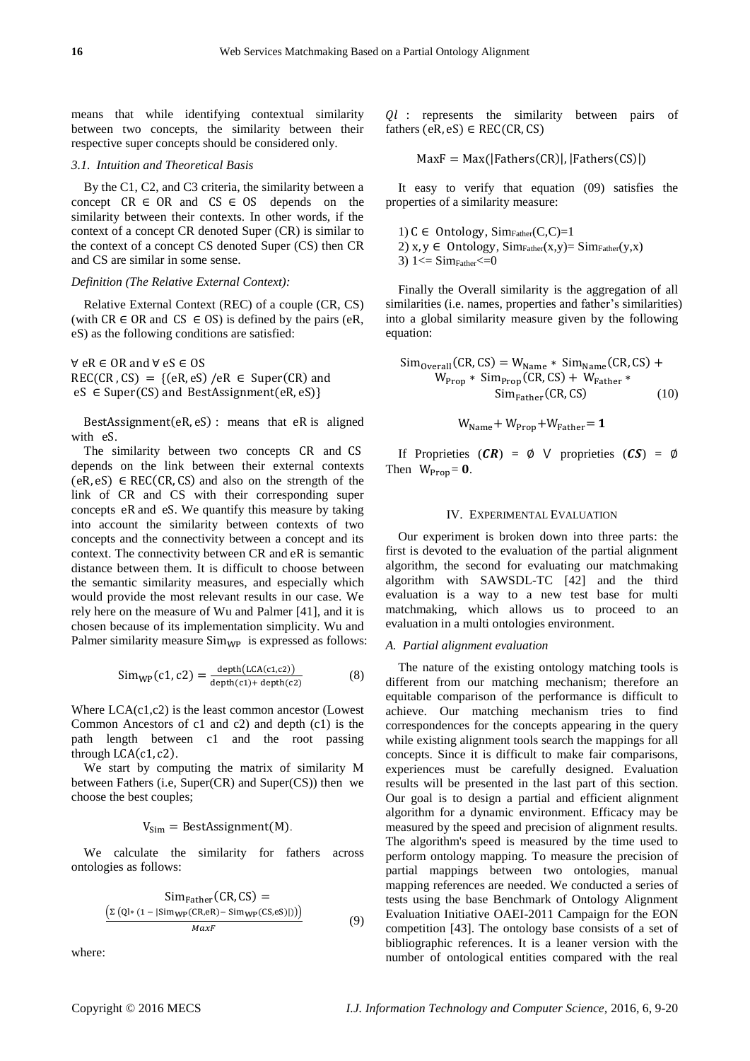means that while identifying contextual similarity between two concepts, the similarity between their respective super concepts should be considered only.

#### *3.1. Intuition and Theoretical Basis*

By the C1, C2, and C3 criteria, the similarity between a concept  $CR \in OR$  and  $CS \in OS$  depends on the similarity between their contexts. In other words, if the context of a concept CR denoted Super (CR) is similar to the context of a concept CS denoted Super (CS) then CR and CS are similar in some sense.

#### *Definition (The Relative External Context):*

Relative External Context (REC) of a couple (CR, CS) (with  $CR \in OR$  and  $CS \in OS$ ) is defined by the pairs (eR, eS) as the following conditions are satisfied:

∀ eR ∈ OR and ∀ eS ∈ OS  $REC(CR, CS) = \{(eR, eS) / eR \in Super(CR) \text{ and}$  $eS \in Super(CS)$  and BestAssignment $(eR, eS)$ }

BestAssignment(eR, eS) : means that eR is aligned with eS.

The similarity between two concepts CR and CS depends on the link between their external contexts  $(eR, eS) \in REC(CR, CS)$  and also on the strength of the link of CR and CS with their corresponding super concepts eR and eS. We quantify this measure by taking into account the similarity between contexts of two concepts and the connectivity between a concept and its context. The connectivity between CR and eR is semantic distance between them. It is difficult to choose between the semantic similarity measures, and especially which would provide the most relevant results in our case. We rely here on the measure of Wu and Palmer [41], and it is chosen because of its implementation simplicity. Wu and Palmer similarity measure  $Sim_{WP}$  is expressed as follows:

$$
Sim_{WP}(c1, c2) = \frac{depth(LCA(c1, c2))}{depth(c1) + depth(c2)}
$$
 (8)

Where LCA(c1,c2) is the least common ancestor (Lowest Common Ancestors of c1 and c2) and depth (c1) is the path length between c1 and the root passing through  $LCA(c1, c2)$ .

We start by computing the matrix of similarity M between Fathers (i.e, Super(CR) and Super(CS)) then we choose the best couples;

# $V_{Sim} = BestAssignment(M)$ .

We calculate the similarity for fathers across ontologies as follows:

$$
\frac{\text{Sim}_{\text{Father}}(\text{CR}, \text{CS}) =}{\frac{\left(\Sigma\left(\text{QI} * (1 - |\text{Sim}_{\text{WP}}(\text{CR}, \text{eR}) - \text{Sim}_{\text{WP}}(\text{CS}, \text{eS})|)\right)\right)}{\text{MaxF}}}
$$
(9)

where:

Ql : represents the similarity between pairs of fathers  $(eR, eS) \in REC(CR, CS)$ 

$$
MaxF = Max(|Fathers(CR)|, |Fathers(CS)|)
$$

It easy to verify that equation (09) satisfies the properties of a similarity measure:

1)  $C \in$  Ontology, Sim<sub>Father</sub> $(C, C) = 1$ 2)  $x, y \in$  Ontology, Sim<sub>Father</sub> $(x,y) =$ Sim<sub>Father</sub> $(y,x)$ 

3)  $1 \leq$  Sim $_{\text{Father}} \leq 0$ 

Finally the Overall similarity is the aggregation of all similarities (i.e. names, properties and father's similarities) into a global similarity measure given by the following equation:

$$
\begin{aligned} \text{Sim}_{\text{Overall}}(\text{CR}, \text{CS}) &= W_{\text{Name}} * \text{Sim}_{\text{Name}}(\text{CR}, \text{CS}) + \\ W_{\text{Prop}} * \text{ Sim}_{\text{Prop}}(\text{CR}, \text{CS}) + W_{\text{Father}} * \\ & \text{Sim}_{\text{Father}}(\text{CR}, \text{CS}) \end{aligned} \tag{10}
$$

$$
W_{Name} + W_{Prop} + W_{Father} = 1
$$

If Proprieties  $(CR) = \emptyset$  V proprieties  $(CS) = \emptyset$ Then  $W_{\text{Prop}} = 0$ .

#### IV. EXPERIMENTAL EVALUATION

Our experiment is broken down into three parts: the first is devoted to the evaluation of the partial alignment algorithm, the second for evaluating our matchmaking algorithm with SAWSDL-TC [42] and the third evaluation is a way to a new test base for multi matchmaking, which allows us to proceed to an evaluation in a multi ontologies environment.

#### *A. Partial alignment evaluation*

The nature of the existing ontology matching tools is different from our matching mechanism; therefore an equitable comparison of the performance is difficult to achieve. Our matching mechanism tries to find correspondences for the concepts appearing in the query while existing alignment tools search the mappings for all concepts. Since it is difficult to make fair comparisons, experiences must be carefully designed. Evaluation results will be presented in the last part of this section. Our goal is to design a partial and efficient alignment algorithm for a dynamic environment. Efficacy may be measured by the speed and precision of alignment results. The algorithm's speed is measured by the time used to perform ontology mapping. To measure the precision of partial mappings between two ontologies, manual mapping references are needed. We conducted a series of tests using the base Benchmark of Ontology Alignment Evaluation Initiative OAEI-2011 Campaign for the EON competition [43]. The ontology base consists of a set of bibliographic references. It is a leaner version with the number of ontological entities compared with the real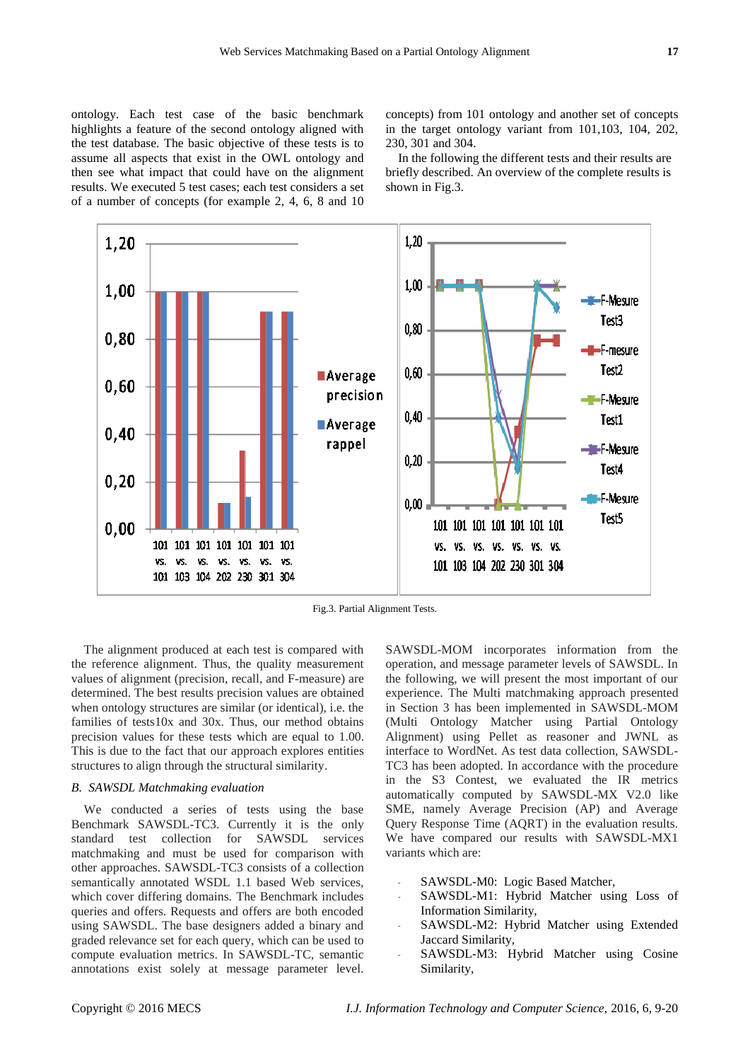ontology. Each test case of the basic benchmark highlights a feature of the second ontology aligned with the test database. The basic objective of these tests is to assume all aspects that exist in the OWL ontology and then see what impact that could have on the alignment results. We executed 5 test cases; each test considers a set of a number of concepts (for example 2, 4, 6, 8 and 10 concepts) from 101 ontology and another set of concepts in the target ontology variant from 101,103, 104, 202, 230, 301 and 304.

In the following the different tests and their results are briefly described. An overview of the complete results is shown in Fig.3.



Fig.3. Partial Alignment Tests.

The alignment produced at each test is compared with the reference alignment. Thus, the quality measurement values of alignment (precision, recall, and F-measure) are determined. The best results precision values are obtained when ontology structures are similar (or identical), i.e. the families of tests10x and 30x. Thus, our method obtains precision values for these tests which are equal to 1.00. This is due to the fact that our approach explores entities structures to align through the structural similarity.

#### *B. SAWSDL Matchmaking evaluation*

We conducted a series of tests using the base Benchmark SAWSDL-TC3. Currently it is the only standard test collection for SAWSDL services matchmaking and must be used for comparison with other approaches. SAWSDL-TC3 consists of a collection semantically annotated WSDL 1.1 based Web services, which cover differing domains. The Benchmark includes queries and offers. Requests and offers are both encoded using SAWSDL. The base designers added a binary and graded relevance set for each query, which can be used to compute evaluation metrics. In SAWSDL-TC, semantic annotations exist solely at message parameter level.

SAWSDL-MOM incorporates information from the operation, and message parameter levels of SAWSDL. In the following, we will present the most important of our experience. The Multi matchmaking approach presented in Section 3 has been implemented in SAWSDL-MOM (Multi Ontology Matcher using Partial Ontology Alignment) using Pellet as reasoner and JWNL as interface to WordNet. As test data collection, SAWSDL-TC3 has been adopted. In accordance with the procedure in the S3 Contest, we evaluated the IR metrics automatically computed by SAWSDL-MX V2.0 like SME, namely Average Precision (AP) and Average Query Response Time (AQRT) in the evaluation results. We have compared our results with SAWSDL-MX1 variants which are:

- *-* SAWSDL-M0: Logic Based Matcher,
- *-* SAWSDL-M1: Hybrid Matcher using Loss of Information Similarity,
- *-* SAWSDL-M2: Hybrid Matcher using Extended Jaccard Similarity,
- *-* SAWSDL-M3: Hybrid Matcher using Cosine Similarity,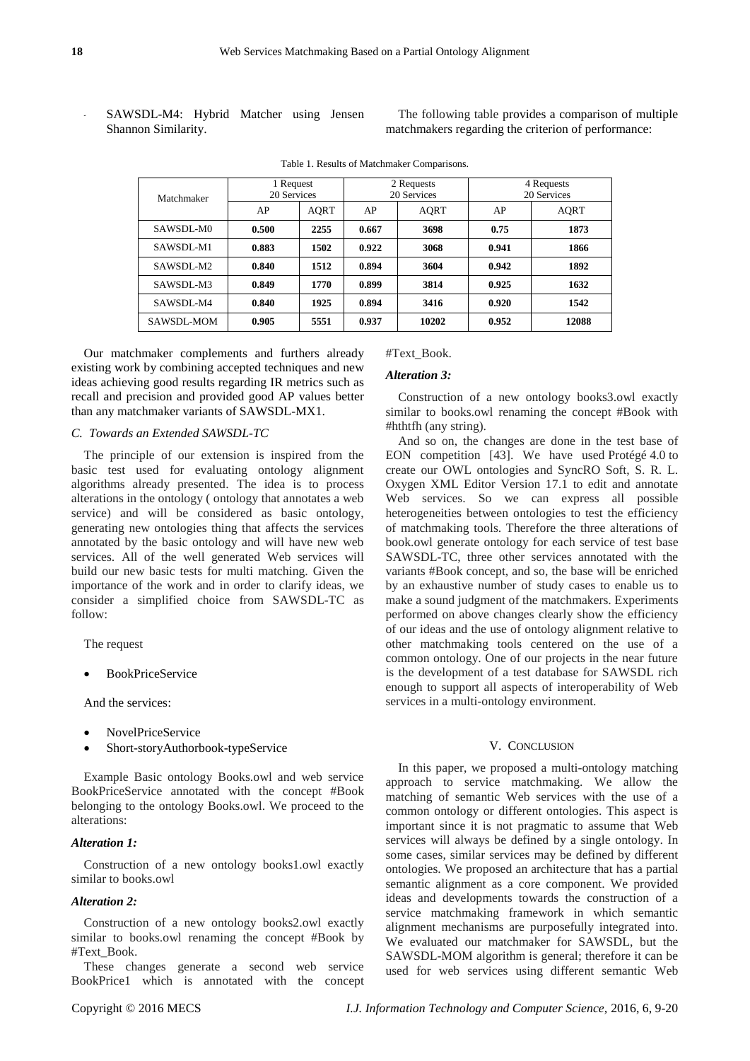*-* SAWSDL-M4: Hybrid Matcher using Jensen Shannon Similarity.

The following table provides a comparison of multiple matchmakers regarding the criterion of performance:

| Matchmaker | 1 Request<br>20 Services |      | 2 Requests<br>20 Services |             | 4 Requests<br>20 Services |             |
|------------|--------------------------|------|---------------------------|-------------|---------------------------|-------------|
|            | AP                       | AORT | AP                        | <b>AQRT</b> | AP                        | <b>AORT</b> |
| SAWSDL-M0  | 0.500                    | 2255 | 0.667                     | 3698        | 0.75                      | 1873        |
| SAWSDL-M1  | 0.883                    | 1502 | 0.922                     | 3068        | 0.941                     | 1866        |
| SAWSDL-M2  | 0.840                    | 1512 | 0.894                     | 3604        | 0.942                     | 1892        |
| SAWSDL-M3  | 0.849                    | 1770 | 0.899                     | 3814        | 0.925                     | 1632        |
| SAWSDL-M4  | 0.840                    | 1925 | 0.894                     | 3416        | 0.920                     | 1542        |
| SAWSDL-MOM | 0.905                    | 5551 | 0.937                     | 10202       | 0.952                     | 12088       |

Table 1. Results of Matchmaker Comparisons.

Our matchmaker complements and furthers already existing work by combining accepted techniques and new ideas achieving good results regarding IR metrics such as recall and precision and provided good AP values better than any matchmaker variants of SAWSDL-MX1.

#### *C. Towards an Extended SAWSDL-TC*

The principle of our extension is inspired from the basic test used for evaluating ontology alignment algorithms already presented. The idea is to process alterations in the ontology ( ontology that annotates a web service) and will be considered as basic ontology, generating new ontologies thing that affects the services annotated by the basic ontology and will have new web services. All of the well generated Web services will build our new basic tests for multi matching. Given the importance of the work and in order to clarify ideas, we consider a simplified choice from SAWSDL-TC as follow:

The request

BookPriceService

And the services:

- NovelPriceService
- Short-storyAuthorbook-typeService

Example Basic ontology Books.owl and web service BookPriceService annotated with the concept #Book belonging to the ontology Books.owl. We proceed to the alterations:

#### *Alteration 1:*

Construction of a new ontology books1.owl exactly similar to books.owl

#### *Alteration 2:*

Construction of a new ontology books2.owl exactly similar to books.owl renaming the concept #Book by #Text\_Book.

These changes generate a second web service BookPrice1 which is annotated with the concept

# #Text\_Book.

#### *Alteration 3:*

Construction of a new ontology books3.owl exactly similar to books.owl renaming the concept #Book with #hthtfh (any string).

And so on, the changes are done in the test base of EON competition [43]. We have used Protégé4.0 to create our OWL ontologies and SyncRO Soft, S. R. L. Oxygen XML Editor Version 17.1 to edit and annotate Web services. So we can express all possible heterogeneities between ontologies to test the efficiency of matchmaking tools. Therefore the three alterations of book.owl generate ontology for each service of test base SAWSDL-TC, three other services annotated with the variants #Book concept, and so, the base will be enriched by an exhaustive number of study cases to enable us to make a sound judgment of the matchmakers. Experiments performed on above changes clearly show the efficiency of our ideas and the use of ontology alignment relative to other matchmaking tools centered on the use of a common ontology. One of our projects in the near future is the development of a test database for SAWSDL rich enough to support all aspects of interoperability of Web services in a multi-ontology environment.

#### V. CONCLUSION

In this paper, we proposed a multi-ontology matching approach to service matchmaking. We allow the matching of semantic Web services with the use of a common ontology or different ontologies. This aspect is important since it is not pragmatic to assume that Web services will always be defined by a single ontology. In some cases, similar services may be defined by different ontologies. We proposed an architecture that has a partial semantic alignment as a core component. We provided ideas and developments towards the construction of a service matchmaking framework in which semantic alignment mechanisms are purposefully integrated into. We evaluated our matchmaker for SAWSDL, but the SAWSDL-MOM algorithm is general; therefore it can be used for web services using different semantic Web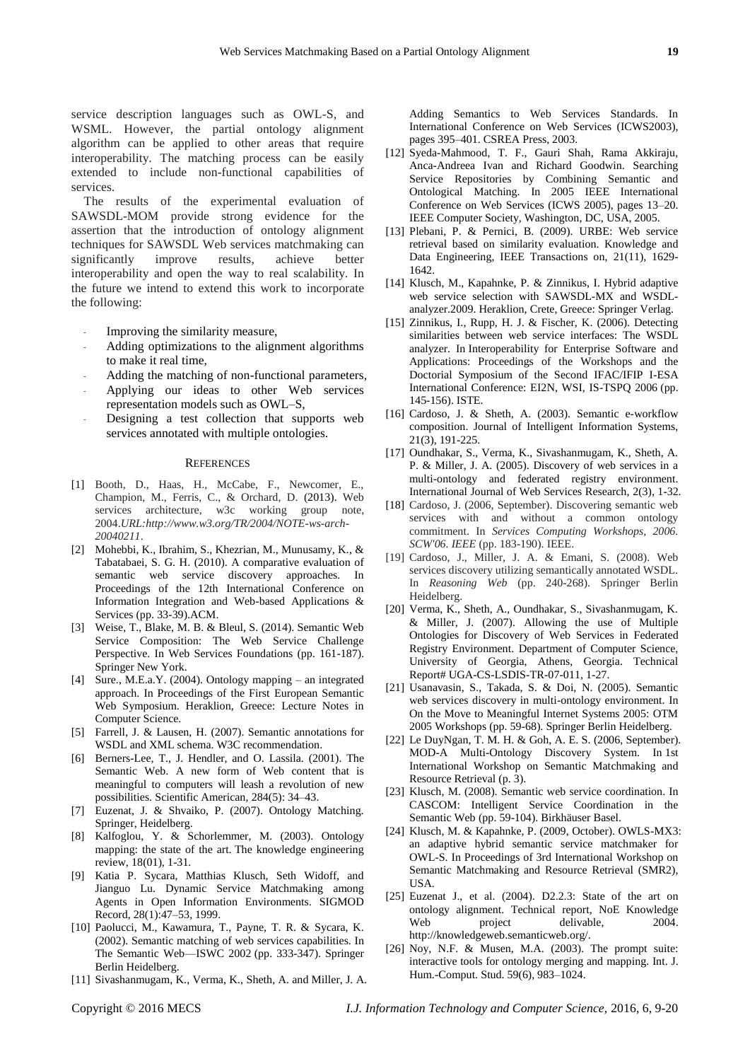service description languages such as OWL-S, and WSML. However, the partial ontology alignment algorithm can be applied to other areas that require interoperability. The matching process can be easily extended to include non-functional capabilities of services.

The results of the experimental evaluation of SAWSDL-MOM provide strong evidence for the assertion that the introduction of ontology alignment techniques for SAWSDL Web services matchmaking can significantly improve results, achieve better interoperability and open the way to real scalability. In the future we intend to extend this work to incorporate the following:

- *-* Improving the similarity measure,
- *-* Adding optimizations to the alignment algorithms to make it real time,
- *-* Adding the matching of non-functional parameters,
- *-* Applying our ideas to other Web services representation models such as OWL–S,
- *-* Designing a test collection that supports web services annotated with multiple ontologies.

#### **REFERENCES**

- [1] Booth, D., Haas, H., McCabe, F., Newcomer, E., Champion, M., Ferris, C., & Orchard, D. (2013). Web services architecture, w3c working group note, 2004.*URL:http://www.w3.org/TR/2004/NOTE-ws-arch-20040211*.
- [2] Mohebbi, K., Ibrahim, S., Khezrian, M., Munusamy, K., & Tabatabaei, S. G. H. (2010). A comparative evaluation of semantic web service discovery approaches. In Proceedings of the 12th International Conference on Information Integration and Web-based Applications & Services (pp. 33-39).ACM.
- [3] Weise, T., Blake, M. B. & Bleul, S. (2014). Semantic Web Service Composition: The Web Service Challenge Perspective. In Web Services Foundations (pp. 161-187). Springer New York.
- [4] Sure., M.E.a.Y. (2004). Ontology mapping an integrated approach. In Proceedings of the First European Semantic Web Symposium. Heraklion, Greece: Lecture Notes in Computer Science.
- [5] Farrell, J. & Lausen, H. (2007). Semantic annotations for WSDL and XML schema. W3C recommendation.
- [6] Berners-Lee, T., J. Hendler, and O. Lassila. (2001). The Semantic Web. A new form of Web content that is meaningful to computers will leash a revolution of new possibilities. Scientific American, 284(5): 34–43.
- [7] Euzenat, J. & Shvaiko, P. (2007). Ontology Matching. Springer, Heidelberg.
- [8] Kalfoglou, Y. & Schorlemmer, M. (2003). Ontology mapping: the state of the art. The knowledge engineering review, 18(01), 1-31.
- [9] Katia P. Sycara, Matthias Klusch, Seth Widoff, and Jianguo Lu. Dynamic Service Matchmaking among Agents in Open Information Environments. SIGMOD Record, 28(1):47–53, 1999.
- [10] Paolucci, M., Kawamura, T., Payne, T. R. & Sycara, K. (2002). Semantic matching of web services capabilities. In The Semantic Web—ISWC 2002 (pp. 333-347). Springer Berlin Heidelberg.
- [11] Sivashanmugam, K., Verma, K., Sheth, A. and Miller, J. A.

Adding Semantics to Web Services Standards. In International Conference on Web Services (ICWS2003), pages 395–401. CSREA Press, 2003.

- [12] Syeda-Mahmood, T. F., Gauri Shah, Rama Akkiraju, Anca-Andreea Ivan and Richard Goodwin. Searching Service Repositories by Combining Semantic and Ontological Matching. In 2005 IEEE International Conference on Web Services (ICWS 2005), pages 13–20. IEEE Computer Society, Washington, DC, USA, 2005.
- [13] Plebani, P. & Pernici, B. (2009). URBE: Web service retrieval based on similarity evaluation. Knowledge and Data Engineering, IEEE Transactions on, 21(11), 1629- 1642.
- [14] Klusch, M., Kapahnke, P. & Zinnikus, I. Hybrid adaptive web service selection with SAWSDL-MX and WSDLanalyzer.2009. Heraklion, Crete, Greece: Springer Verlag.
- [15] Zinnikus, I., Rupp, H. J. & Fischer, K. (2006). Detecting similarities between web service interfaces: The WSDL analyzer. In Interoperability for Enterprise Software and Applications: Proceedings of the Workshops and the Doctorial Symposium of the Second IFAC/IFIP I-ESA International Conference: EI2N, WSI, IS-TSPQ 2006 (pp. 145-156). ISTE.
- [16] Cardoso, J. & Sheth, A. (2003). Semantic e-workflow composition. Journal of Intelligent Information Systems, 21(3), 191-225.
- [17] Oundhakar, S., Verma, K., Sivashanmugam, K., Sheth, A. P. & Miller, J. A. (2005). Discovery of web services in a multi-ontology and federated registry environment. International Journal of Web Services Research, 2(3), 1-32.
- [18] Cardoso, J. (2006, September). Discovering semantic web services with and without a common ontology commitment. In *Services Computing Workshops, 2006. SCW'06. IEEE* (pp. 183-190). IEEE.
- [19] Cardoso, J., Miller, J. A. & Emani, S. (2008). Web services discovery utilizing semantically annotated WSDL. In *Reasoning Web* (pp. 240-268). Springer Berlin Heidelberg.
- [20] Verma, K., Sheth, A., Oundhakar, S., Sivashanmugam, K. & Miller, J. (2007). Allowing the use of Multiple Ontologies for Discovery of Web Services in Federated Registry Environment. Department of Computer Science, University of Georgia, Athens, Georgia. Technical Report# UGA-CS-LSDIS-TR-07-011, 1-27.
- [21] Usanavasin, S., Takada, S. & Doi, N. (2005). Semantic web services discovery in multi-ontology environment. In On the Move to Meaningful Internet Systems 2005: OTM 2005 Workshops (pp. 59-68). Springer Berlin Heidelberg.
- [22] Le DuyNgan, T. M. H. & Goh, A. E. S. (2006, September). MOD-A Multi-Ontology Discovery System. In 1st International Workshop on Semantic Matchmaking and Resource Retrieval (p. 3).
- [23] Klusch, M. (2008). Semantic web service coordination. In CASCOM: Intelligent Service Coordination in the Semantic Web (pp. 59-104). Birkhäuser Basel.
- [24] Klusch, M. & Kapahnke, P. (2009, October). OWLS-MX3: an adaptive hybrid semantic service matchmaker for OWL-S. In Proceedings of 3rd International Workshop on Semantic Matchmaking and Resource Retrieval (SMR2), USA.
- [25] Euzenat J., et al. (2004). D2.2.3: State of the art on ontology alignment. Technical report, NoE Knowledge Web project delivable, 2004. http://knowledgeweb.semanticweb.org/.
- [26] Noy, N.F. & Musen, M.A. (2003). The prompt suite: interactive tools for ontology merging and mapping. Int. J. Hum.-Comput. Stud. 59(6), 983–1024.